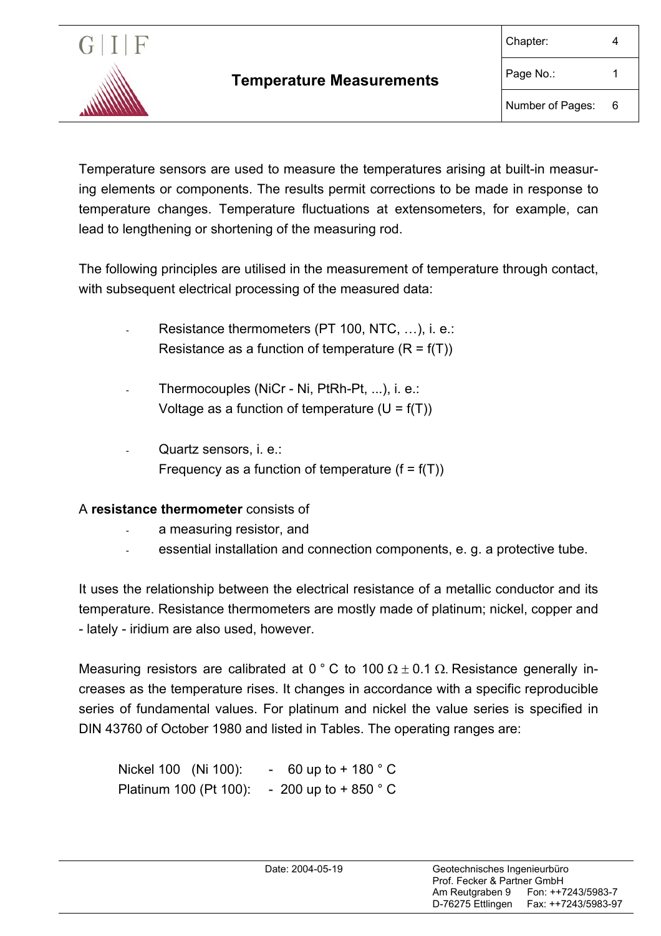

Temperature sensors are used to measure the temperatures arising at built-in measuring elements or components. The results permit corrections to be made in response to temperature changes. Temperature fluctuations at extensometers, for example, can lead to lengthening or shortening of the measuring rod.

The following principles are utilised in the measurement of temperature through contact, with subsequent electrical processing of the measured data:

- Resistance thermometers (PT 100, NTC, ...), i. e.: Resistance as a function of temperature  $(R = f(T))$
- Thermocouples (NiCr Ni, PtRh-Pt, ...), i. e.: Voltage as a function of temperature  $(U = f(T))$
- Quartz sensors, i. e.: Frequency as a function of temperature  $(f = f(T))$

## A **resistance thermometer** consists of

- a measuring resistor, and
- essential installation and connection components, e. g. a protective tube.

It uses the relationship between the electrical resistance of a metallic conductor and its temperature. Resistance thermometers are mostly made of platinum; nickel, copper and - lately - iridium are also used, however.

Measuring resistors are calibrated at 0 ° C to 100  $\Omega \pm 0.1$   $\Omega$ . Resistance generally increases as the temperature rises. It changes in accordance with a specific reproducible series of fundamental values. For platinum and nickel the value series is specified in DIN 43760 of October 1980 and listed in Tables. The operating ranges are:

Nickel 100 (Ni 100): - 60 up to + 180 ° C Platinum 100 (Pt 100): - 200 up to + 850 ° C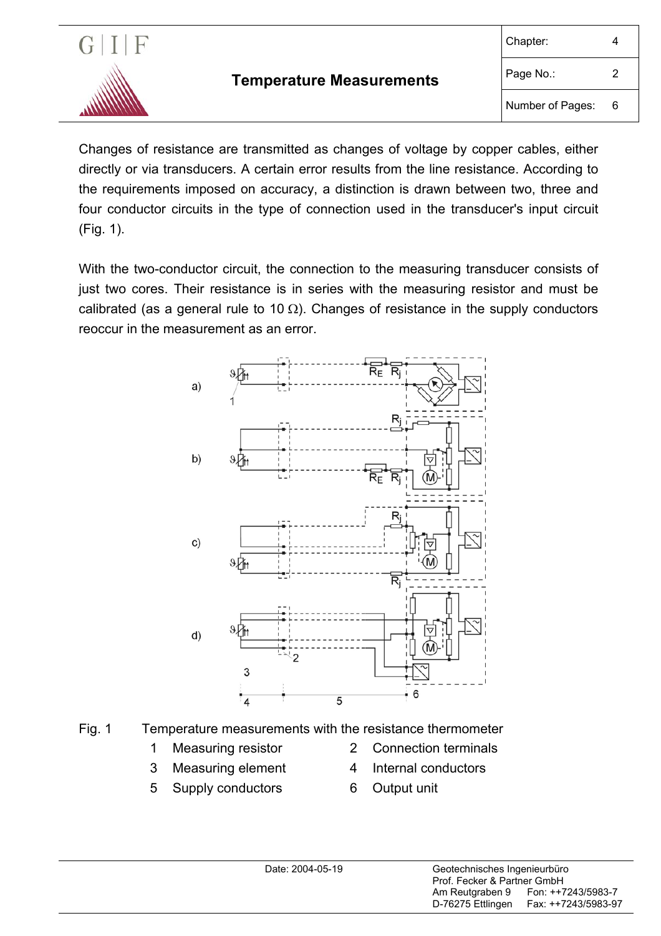

Changes of resistance are transmitted as changes of voltage by copper cables, either directly or via transducers. A certain error results from the line resistance. According to the requirements imposed on accuracy, a distinction is drawn between two, three and four conductor circuits in the type of connection used in the transducer's input circuit (Fig. 1).

With the two-conductor circuit, the connection to the measuring transducer consists of just two cores. Their resistance is in series with the measuring resistor and must be calibrated (as a general rule to 10  $\Omega$ ). Changes of resistance in the supply conductors reoccur in the measurement as an error.



- Fig. 1 Temperature measurements with the resistance thermometer
	-
	- 3 Measuring element 4 Internal conductors
	- 5 Supply conductors 6 Output unit
	- 1 Measuring resistor 2 Connection terminals
		-
		-
-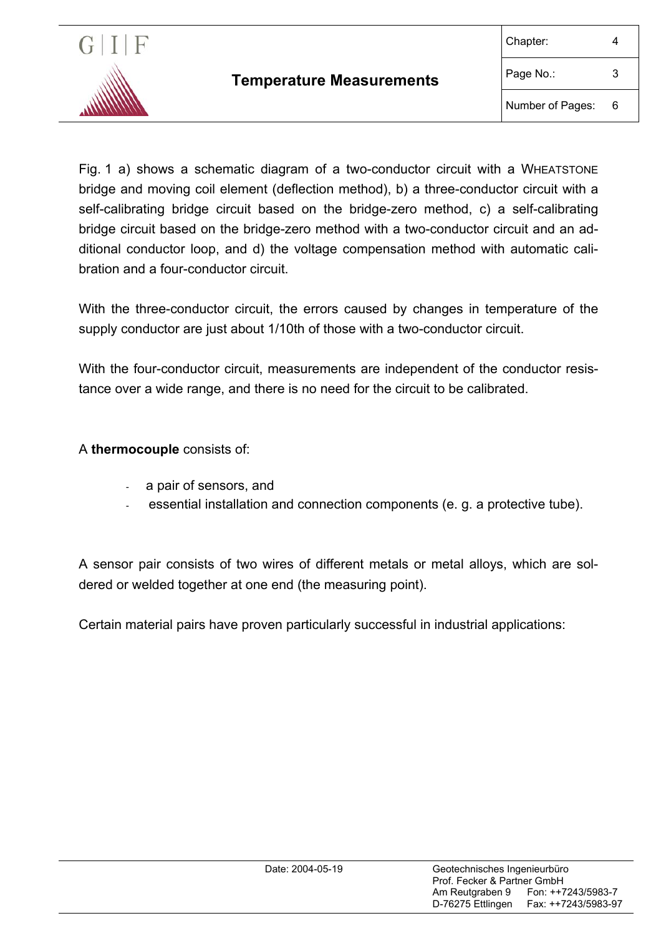

Fig. 1 a) shows a schematic diagram of a two-conductor circuit with a WHEATSTONE bridge and moving coil element (deflection method), b) a three-conductor circuit with a self-calibrating bridge circuit based on the bridge-zero method, c) a self-calibrating bridge circuit based on the bridge-zero method with a two-conductor circuit and an additional conductor loop, and d) the voltage compensation method with automatic calibration and a four-conductor circuit.

With the three-conductor circuit, the errors caused by changes in temperature of the supply conductor are just about 1/10th of those with a two-conductor circuit.

With the four-conductor circuit, measurements are independent of the conductor resistance over a wide range, and there is no need for the circuit to be calibrated.

A **thermocouple** consists of:

- a pair of sensors, and
- essential installation and connection components (e. g. a protective tube).

A sensor pair consists of two wires of different metals or metal alloys, which are soldered or welded together at one end (the measuring point).

Certain material pairs have proven particularly successful in industrial applications: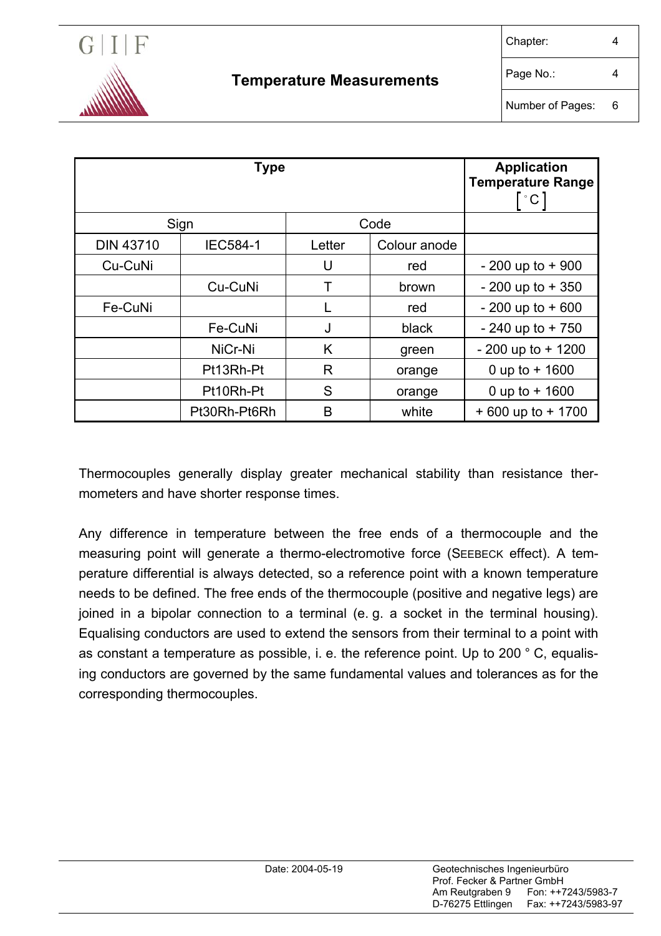

| <b>Type</b>      |                 |        |              | <b>Application</b><br><b>Temperature Range</b><br>$\degree$ C |
|------------------|-----------------|--------|--------------|---------------------------------------------------------------|
| Sign             |                 | Code   |              |                                                               |
| <b>DIN 43710</b> | <b>IEC584-1</b> | Letter | Colour anode |                                                               |
| Cu-CuNi          |                 | U      | red          | $-200$ up to $+900$                                           |
|                  | Cu-CuNi         |        | brown        | $-200$ up to $+350$                                           |
| Fe-CuNi          |                 |        | red          | $-200$ up to $+600$                                           |
|                  | Fe-CuNi         | J      | black        | $-240$ up to $+750$                                           |
|                  | NiCr-Ni         | K      | green        | $-200$ up to $+1200$                                          |
|                  | Pt13Rh-Pt       | R      | orange       | 0 up to $+$ 1600                                              |
|                  | Pt10Rh-Pt       | S      | orange       | 0 up to $+$ 1600                                              |
|                  | Pt30Rh-Pt6Rh    | B      | white        | $+600$ up to $+1700$                                          |

Thermocouples generally display greater mechanical stability than resistance thermometers and have shorter response times.

Any difference in temperature between the free ends of a thermocouple and the measuring point will generate a thermo-electromotive force (SEEBECK effect). A temperature differential is always detected, so a reference point with a known temperature needs to be defined. The free ends of the thermocouple (positive and negative legs) are joined in a bipolar connection to a terminal (e. g. a socket in the terminal housing). Equalising conductors are used to extend the sensors from their terminal to a point with as constant a temperature as possible, i. e. the reference point. Up to 200 ° C, equalising conductors are governed by the same fundamental values and tolerances as for the corresponding thermocouples.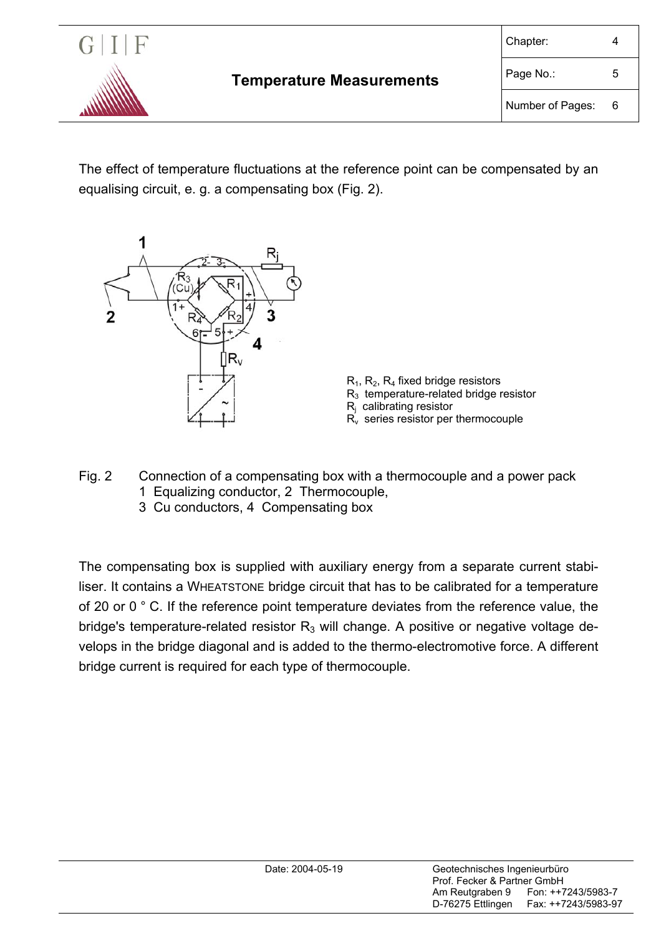

The effect of temperature fluctuations at the reference point can be compensated by an equalising circuit, e. g. a compensating box (Fig. 2).





- Fig. 2 Connection of a compensating box with a thermocouple and a power pack 1 Equalizing conductor, 2 Thermocouple,
	- 3 Cu conductors, 4 Compensating box

The compensating box is supplied with auxiliary energy from a separate current stabiliser. It contains a WHEATSTONE bridge circuit that has to be calibrated for a temperature of 20 or 0 ° C. If the reference point temperature deviates from the reference value, the bridge's temperature-related resistor  $R_3$  will change. A positive or negative voltage develops in the bridge diagonal and is added to the thermo-electromotive force. A different bridge current is required for each type of thermocouple.